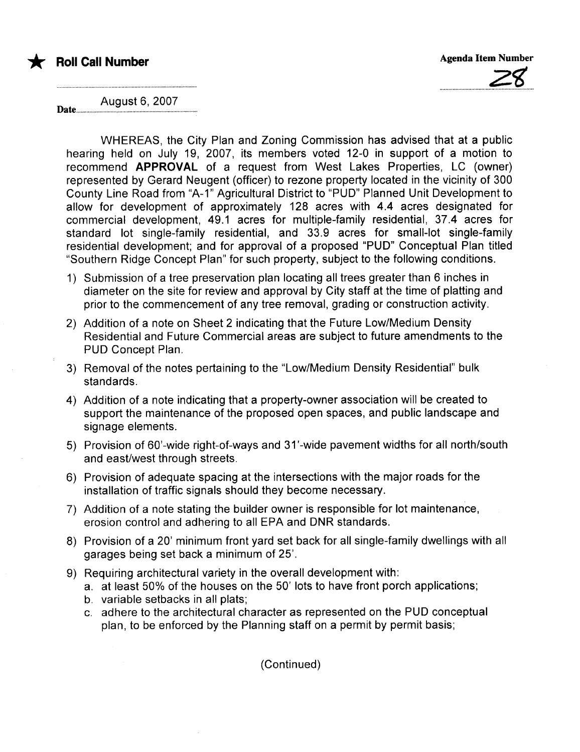



August 6, 2007 Date............

WHEREAS, the City Plan and Zoning Commission has advised that at a public hearing held on July 19, 2007, its members voted 12-0 in support of a motion to recommend APPROVAL of a request from West Lakes Properties, LC (owner) represented by Gerard Neugent (officer) to rezone property located in the vicinity of 300 County Line Road from "A-1" Agricultural District to "PUD" Planned Unit Development to allow for development of approximately 128 acres with 4.4 acres designated for commercial development, 49.1 acres for multiple-family residential, 37.4 acres for standard lot single-family residential, and 33.9 acres for small-lot single-family residential development; and for approval of a proposed "PUD" Conceptual Plan titled "Southern Ridge Concept Plan" for such property, subject to the following conditions.

- 1) Submission of a tree preservation plan locating all trees greater than 6 inches in diameter on the site for review and approval by City staff at the time of platting and prior to the commencement of any tree removal, grading or construction activity.
- 2) Addition of a note on Sheet 2 indicating that the Future Low/Medium Density Residential and Future Commercial areas are subject to future amendments to the PUD Concept Plan.
- 3) Removal of the notes pertaining to the "Low/Medium Density Residential" bulk standards.
- 4) Addition of a note indicating that a property-owner association will be created to support the maintenance of the proposed open spaces, and public landscape and signage elements.
- 5) Provision of 60'-wide right-of-ways and 31 '-wide pavement widths for all north/south and east/west through streets.
- 6) Provision of adequate spacing at the intersections with the major roads for the installation of traffic signals should they become necessary.
- 7) Addition of a note stating the builder owner is responsible for lot maintenance, erosion control and adhering to all EPA and DNR standards.
- 8) Provision of a 20' minimum front yard set back for all single-family dwellings with all garages being set back a minimum of 25'.
- 9) Requiring architectural variety in the overall development with:
	- a. at least 50% of the houses on the 50' lots to have front porch applications;
	- b. variable setbacks in all plats;
	- c. adhere to the architectural character as represented on the PUD conceptual plan, to be enforced by the Planning staff on a permit by permit basis;

(Continued)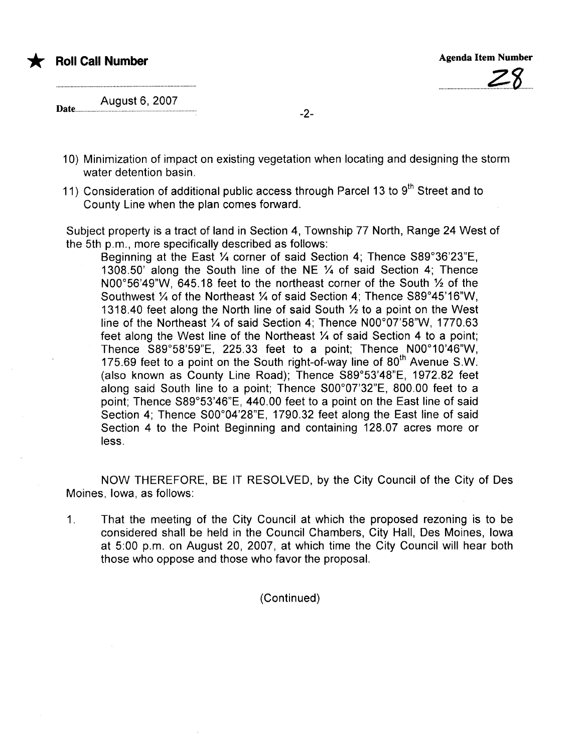\* Roll Call Number Agenda Item Number Agenda Item Number



August 6, 2007

- 10) Minimization of impact on existing vegetation when locating and designing the storm water detention basin.
- 11) Consideration of additional public access through Parcel 13 to  $9<sup>th</sup>$  Street and to County Line when the plan comes forward.

Subject property is a tract of land in Section 4, Township 77 North, Range 24 West of the 5th p.m., more specifically described as follows:

Beginning at the East 1/4 corner of said Section 4; Thence S89°36'23"E, 1308.50' along the South line of the NE  $\frac{1}{4}$  of said Section 4; Thence NOO $\degree$ 56'49"W, 645.18 feet to the northeast corner of the South  $\frac{1}{2}$  of the Southwest  $\frac{1}{4}$  of the Northeast  $\frac{1}{4}$  of said Section 4; Thence S89°45'16"W, 1318.40 feet along the North line of said South  $\frac{1}{2}$  to a point on the West line of the Northeast  $\frac{1}{4}$  of said Section 4: Thence N00°07'58"W, 1770.63 feet along the West line of the Northeast  $\frac{1}{4}$  of said Section 4 to a point; Thence  $S89^{\circ}58'59''E$ , 225.33 feet to a point; Thence  $N00^{\circ}10'46''W$ , 175.69 feet to a point on the South right-of-way line of  $80<sup>th</sup>$  Avenue S.W. (also known as County Line Road); Thence S89°53'48"E, 1972.82 feet along said South line to a point; Thence  $SO0^{\circ}07'32''E$ , 800.00 feet to a point; Thence S89°53'46"E, 440.00 feet to a point on the East line of said Section 4; Thence S00°04'28"E, 1790.32 feet along the East line of said Section 4 to the Point Beginning and containing 128.07 acres more or less.

NOW THEREFORE, BE IT RESOLVED, by the City Council of the City of Des Moines, Iowa, as follows:

1. That the meeting of the City Council at which the proposed rezoning is to be considered shall be held in the Council Chambers, City Hall, Des Moines, Iowa at 5:00 p.m. on August 20, 2007, at which time the City Council will hear both those who oppose and those who favor the proposal.

(Continued)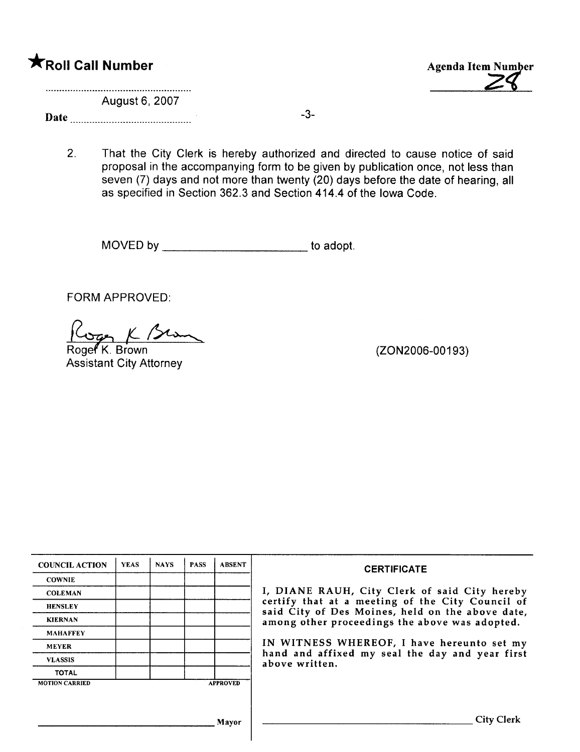Agenda Item Number

August 6, 2007

Date -3-

2. That the City Clerk is hereby authorized and directed to cause notice of said proposal in the accompanying form to be given by publication once, not less than seven (7) days and not more than twenty (20) days before the date of hearing, all as specified in Section 362.3 and Section 414.4 of the Iowa Code.

MOVED by \_\_\_\_\_\_\_\_\_\_\_\_\_\_\_\_\_\_\_\_\_\_\_\_\_\_\_\_ to adopt.

FORM APPROVED:

Cope K Bran

Roger<sup>K</sup>. Brown Assistant City Attorney

(ZON2006-00193)

| <b>COUNCIL ACTION</b> | <b>YEAS</b> | <b>NAYS</b> | <b>PASS</b> | <b>ABSENT</b>   | <b>CERTIFICATE</b>                                                                                   |  |
|-----------------------|-------------|-------------|-------------|-----------------|------------------------------------------------------------------------------------------------------|--|
| <b>COWNIE</b>         |             |             |             |                 |                                                                                                      |  |
| <b>COLEMAN</b>        |             |             |             |                 | I, DIANE RAUH, City Clerk of said City hereby                                                        |  |
| <b>HENSLEY</b>        |             |             |             |                 | certify that at a meeting of the City Council of<br>said City of Des Moines, held on the above date, |  |
| <b>KIERNAN</b>        |             |             |             |                 | among other proceedings the above was adopted.                                                       |  |
| <b>MAHAFFEY</b>       |             |             |             |                 |                                                                                                      |  |
| <b>MEYER</b>          |             |             |             |                 | IN WITNESS WHEREOF, I have hereunto set my                                                           |  |
| <b>VLASSIS</b>        |             |             |             |                 | hand and affixed my seal the day and year first<br>above written.                                    |  |
| <b>TOTAL</b>          |             |             |             |                 |                                                                                                      |  |
| <b>MOTION CARRIED</b> |             |             |             | <b>APPROVED</b> |                                                                                                      |  |
|                       |             |             |             |                 |                                                                                                      |  |
|                       |             |             |             | Mayor           | <b>City Clerk</b>                                                                                    |  |

 $\overline{\phantom{a}}$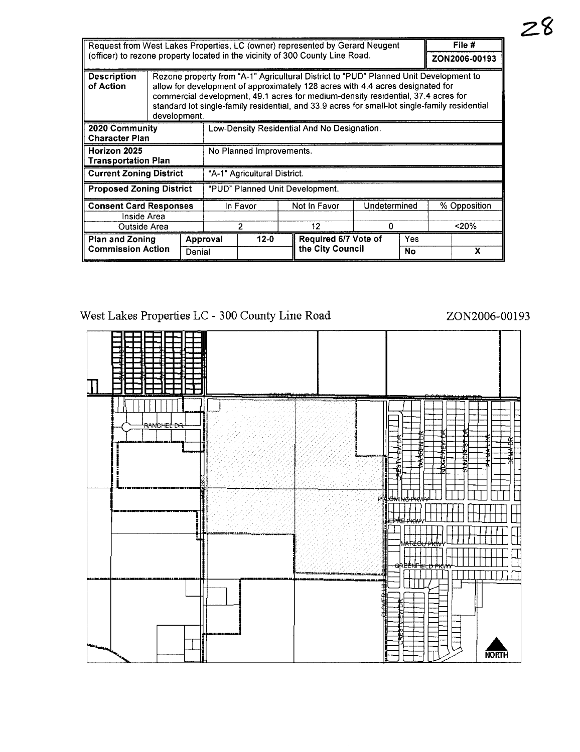| Request from West Lakes Properties, LC (owner) represented by Gerard Neugent |                                                                                                                                                                                                                                                                                                                                                                                |                                             |                                 |              |    | File #               |  |               |  |   |
|------------------------------------------------------------------------------|--------------------------------------------------------------------------------------------------------------------------------------------------------------------------------------------------------------------------------------------------------------------------------------------------------------------------------------------------------------------------------|---------------------------------------------|---------------------------------|--------------|----|----------------------|--|---------------|--|---|
|                                                                              | (officer) to rezone property located in the vicinity of 300 County Line Road.                                                                                                                                                                                                                                                                                                  |                                             |                                 |              |    |                      |  | ZON2006-00193 |  |   |
| <b>Description</b><br>of Action                                              | Rezone property from "A-1" Agricultural District to "PUD" Planned Unit Development to<br>allow for development of approximately 128 acres with 4.4 acres designated for<br>commercial development, 49.1 acres for medium-density residential, 37.4 acres for<br>standard lot single-family residential, and 33.9 acres for small-lot single-family residential<br>development. |                                             |                                 |              |    |                      |  |               |  |   |
| 2020 Community<br><b>Character Plan</b>                                      |                                                                                                                                                                                                                                                                                                                                                                                | Low-Density Residential And No Designation. |                                 |              |    |                      |  |               |  |   |
| Horizon 2025<br>Transportation Plan                                          |                                                                                                                                                                                                                                                                                                                                                                                |                                             | No Planned Improvements.        |              |    |                      |  |               |  |   |
| <b>Current Zoning District</b>                                               |                                                                                                                                                                                                                                                                                                                                                                                |                                             | "A-1" Agricultural District.    |              |    |                      |  |               |  |   |
| <b>Proposed Zoning District</b>                                              |                                                                                                                                                                                                                                                                                                                                                                                |                                             | "PUD" Planned Unit Development. |              |    |                      |  |               |  |   |
| <b>Consent Card Responses</b>                                                |                                                                                                                                                                                                                                                                                                                                                                                | In Favor                                    |                                 | Not in Favor |    | Undetermined         |  | % Opposition  |  |   |
| Inside Area                                                                  |                                                                                                                                                                                                                                                                                                                                                                                |                                             |                                 |              |    |                      |  |               |  |   |
| Outside Area                                                                 |                                                                                                                                                                                                                                                                                                                                                                                | 2                                           |                                 |              | 12 | 0                    |  | 20%           |  |   |
| <b>Plan and Zoning</b>                                                       |                                                                                                                                                                                                                                                                                                                                                                                |                                             | Approval                        | $12 - 0$     |    | Required 6/7 Vote of |  | Yes           |  |   |
| <b>Commission Action</b>                                                     | Denial                                                                                                                                                                                                                                                                                                                                                                         |                                             |                                 |              |    | the City Council     |  | No            |  | х |

West Lakes Properties LC - 300 County Line Road ZON2006-00193

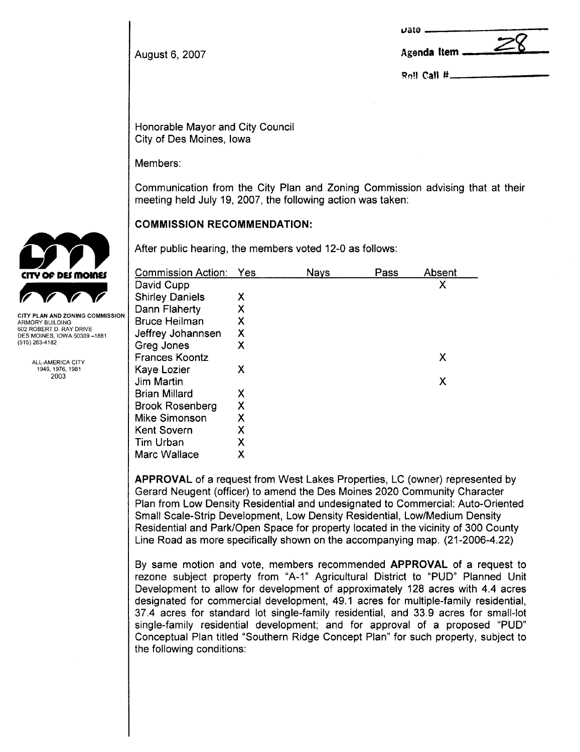|                | <b>Date</b>                             |
|----------------|-----------------------------------------|
| August 6, 2007 | Agenda Item $\frac{\angle 0}{\angle 0}$ |

Roll Call #

Honorable Mayor and City Council City of Des Moines, Iowa

Members:

Communication from the City Plan and Zoning Commission advising that at their meeting held July 19, 2007, the following action was taken:

# COMMISSION RECOMMENDATION:

After public hearing, the members voted 12-0 as follows:

| <b>Commission Action:</b> | Yes | <b>Nays</b> | Pass | Absent |
|---------------------------|-----|-------------|------|--------|
| David Cupp                |     |             |      | Χ      |
| <b>Shirley Daniels</b>    | Χ   |             |      |        |
| Dann Flaherty             | χ   |             |      |        |
| <b>Bruce Heilman</b>      | Х   |             |      |        |
| Jeffrey Johannsen         | Χ   |             |      |        |
| Greg Jones                | Х   |             |      |        |
| <b>Frances Koontz</b>     |     |             |      | Х      |
| <b>Kaye Lozier</b>        | Χ   |             |      |        |
| Jim Martin                |     |             |      | Х      |
| <b>Brian Millard</b>      | Х   |             |      |        |
| <b>Brook Rosenberg</b>    | Х   |             |      |        |
| <b>Mike Simonson</b>      | Χ   |             |      |        |
| <b>Kent Sovern</b>        | Χ   |             |      |        |
| Tim Urban                 | Χ   |             |      |        |
| Marc Wallace              | Х   |             |      |        |

APPROVAL of a request from West Lakes Properties, LC (owner) represented by Gerard Neugent (officer) to amend the Des Moines 2020 Community Character Plan from Low Density Residential and undesignated to Commercial: Auto-Oriented Small Scale-Strip Development, Low Density Residential, Low/Medium Density Residential and Park/Open Space for property located in the vicinity of 300 County Line Road as more specifically shown on the accompanying map. (21-2006-4.22)

By same motion and vote, members recommended APPROVAL of a request to rezone subject property from "A-1" Agricultural District to "PUD" Planned Unit Development to allow for development of approximately 128 acres with 4.4 acres designated for commercial development, 49.1 acres for multiple-family residential, 37.4 acres for standard lot single-family residential, and 33.9 acres for small-lot single-family residential development; and for approval of a proposed "PUD" Conceptual Plan titled "Southern Ridge Concept Plan" for such property, subject to the following conditions:



ARMORY BUILDING 602 ROBERT D. RAY DRIVE DES MOINES, IOWA 50309-1881 (515) 283-4182

> ALL-AMERICA CITY 1949,1976,1981 2003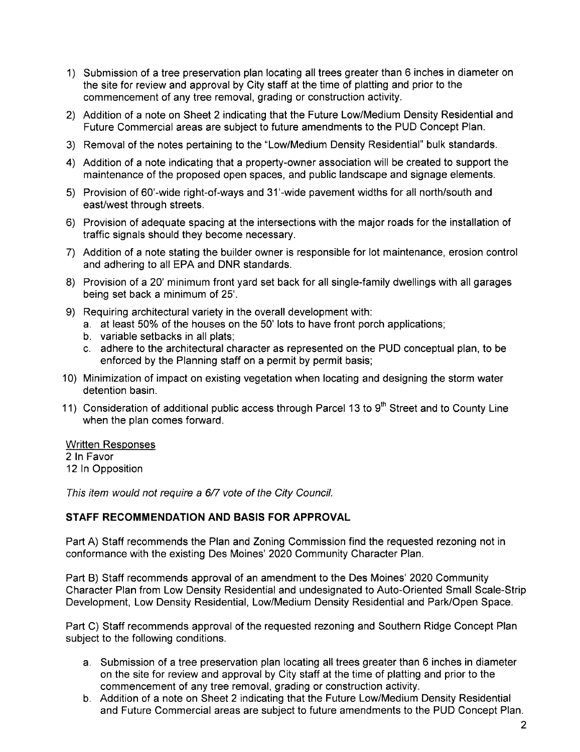- 1) Submission of a tree preservation plan locating all trees greater than 6 inches in diameter on the site for review and approval by City staff at the time of platting and prior to the commencement of any tree removal, grading or construction activity.
- 2) Addition of a note on Sheet 2 indicating that the Future Low/Medium Density Residential and Future Commercial areas are subject to future amendments to the PUD Concept Plan.
- 3) Removal of the notes pertaining to the "Low/Medium Density Residential" bulk standards.
- 4) Addition of a note indicating that a property-owner association will be created to support the maintenance of the proposed open spaces, and public landscape and signage elements.
- 5) Provision of 60'-wide right-of-ways and 31 '-wide pavement widths for all north/south and east/west through streets.
- 6) Provision of adequate spacing at the intersections with the major roads for the installation of traffic signals should they become necessary.
- 7) Addition of a note stating the builder owner is responsible for lot maintenance, erosion control and adhering to all EPA and DNR standards.
- 8) Provision of a 20' minimum front yard set back for all single-family dwellings with all garages being set back a minimum of 25'.
- 9) Requiring architectural variety in the overall development with:
	- a, at least 50% of the houses on the 50' lots to have front porch applications;
	- b. variable setbacks in all plats;
	- c. adhere to the architectural character as represented on the PUD conceptual plan, to be enforced by the Planning staff on a permit by permit basis;
- 10) Minimization of impact on existing vegetation when locating and designing the storm water detention basin.
- 11) Consideration of additional public access through Parcel 13 to  $9<sup>th</sup>$  Street and to County Line when the plan comes forward.

### Written Responses

2 In Favor 12 In Opposition

This item would not require a 6/7 vote of the City Council.

### STAFF RECOMMENDATION AND BASIS FOR APPROVAL

Part A) Staff recommends the Plan and Zoning Commission find the requested rezoning not in conformance with the existing Des Moines' 2020 Community Character Plan.

Part B) Staff recommends approval of an amendment to the Des Moines' 2020 Community Character Plan from Low Density Residential and undesignated to Auto-Oriented Small Scale-Strip Development, Low Density Residential, Low/Medium Density Residential and Park/Open Space.

Part C) Staff recommends approval of the requested rezoning and Southern Ridge Concept Plan subject to the following conditions.

- a. Submission of a tree preservation plan locating all trees greater than 6 inches in diameter on the site for review and approval by City staff at the time of platting and prior to the commencement of any tree removal, grading or construction activity.
- b. Addition of a note on Sheet 2 indicating that the Future Low/Medium Density Residential and Future Commercial areas are subject to future amendments to the PUD Concept Plan.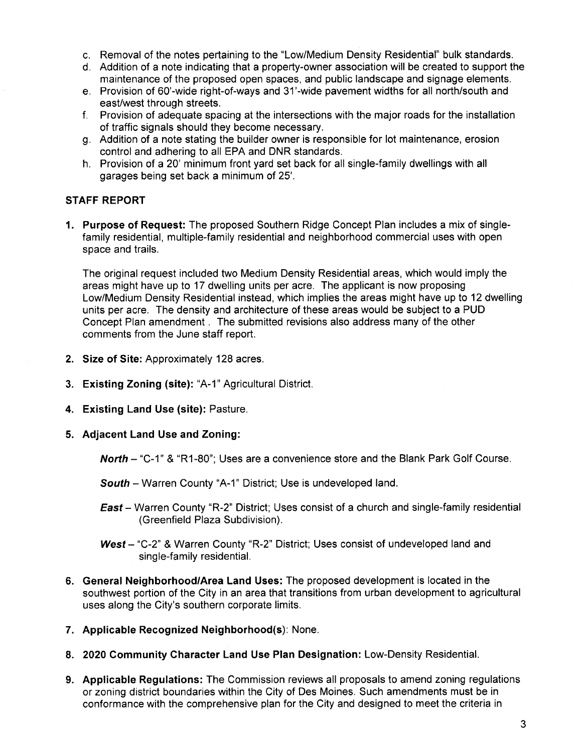- c. Removal of the notes pertaining to the "Low/Medium Density Residential" bulk standards.
- d. Addition of a note indicating that a property-owner association will be created to support the maintenance of the proposed open spaces, and public landscape and signage elements.
- e, Provision of 60'-wide right-of-ways and 31 '-wide pavement widths for all north/south and east/west through streets.
- f. Provision of adequate spacing at the intersections with the major roads for the installation of traffic signals should they become necessary.
- g. Addition of a note stating the builder owner is responsible for lot maintenance, erosion control and adhering to all EPA and DNR standards.
- h. Provision of a 20' minimum front yard set back for all single-family dwellings with all garages being set back a minimum of 25'.

# STAFF REPORT

1. Purpose of Request: The proposed Southern Ridge Concept Plan includes a mix of singlefamily residential, multiple-family residential and neighborhood commercial uses with open space and trails.

The original request included two Medium Density Residential areas, which would imply the areas might have up to 17 dwelling units per acre. The applicant is now proposing Low/Medium Density Residential instead, which implies the areas might have up to 12 dwelling units per acre, The density and architecture of these areas would be subject to a PUD Concept Plan amendment. The submitted revisions also address many of the other comments from the June staff report.

- 2. Size of Site: Approximately 128 acres.
- 3. Existing Zoning (site): "A-1" Agricultural District.
- 4. Existing Land Use (site): Pasture.
- 5. Adjacent Land Use and Zoning:

**North**  $-$  "C-1" & "R1-80"; Uses are a convenience store and the Blank Park Golf Course.

South - Warren County "A-1" District; Use is undeveloped land.

- **East** Warren County "R-2" District; Uses consist of a church and single-family residential (Greenfield Plaza Subdivision).
- West  $-$  "C-2" & Warren County "R-2" District; Uses consist of undeveloped land and single-family residential.
- 6. General Neighborhood/Area Land Uses: The proposed development is located in the southwest portion of the City in an area that transitions from urban development to agricultural uses along the City's southern corporate limits.
- 7. Applicable Recognized Neighborhood(s): None.
- 8. 2020 Community Character Land Use Plan Designation: Low-Density ResidentiaL.
- 9. Applicable Regulations: The Commission reviews all proposals to amend zoning regulations or zoning district boundaries within the City of Des Moines. Such amendments must be in conformance with the comprehensive plan for the City and designed to meet the criteria in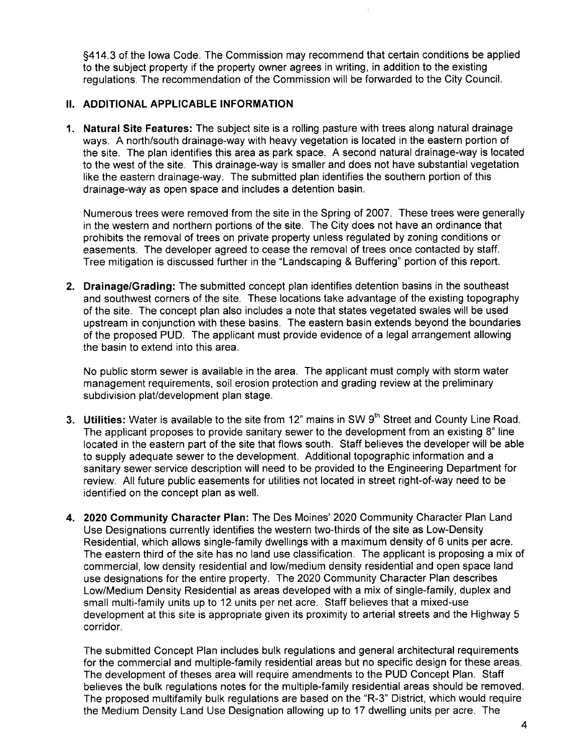§414.3 of the Iowa Code. The Commission may recommend that certain conditions be applied to the subject property if the property owner agrees in writing, in addition to the existing regulations. The recommendation of the Commission will be forwarded to the City CounciL.

# II. ADDITIONAL APPLICABLE INFORMATION

1. Natural Site Features: The subject site is a rolling pasture with trees along natural drainage ways. A north/south drainage-way with heavy vegetation is located in the eastern portion of the site. The plan identifies this area as park space. A second natural drainage-way is located to the west of the site. This drainage-way is smaller and does not have substantial vegetation like the eastern drainage-way. The submitted plan identifies the southern portion of this drainage-way as open space and includes a detention basin.

Numerous trees were removed from the site in the Spring of 2007. These trees were generally in the western and northern portions of the site. The City does not have an ordinance that prohibits the removal of trees on private property unless regulated by zoning conditions or easements. The developer agreed to cease the removal of trees once contacted by staff. Tree mitigation is discussed further in the "Landscaping & Buffering" portion of this report.

2. Drainage/Grading: The submitted concept plan identifies detention basins in the southeast and southwest corners of the site. These locations take advantage of the existing topography of the site. The concept plan also includes a note that states vegetated swales will be used upstream in conjunction with these basins. The eastern basin extends beyond the boundaries of the proposed PUD. The applicant must provide evidence of a legal arrangement allowing the basin to extend into this area.

No public storm sewer is available in the area. The applicant must comply with storm water management requirements, soil erosion protection and grading review at the preliminary subdivision plat/development plan stage.

- 3. Utilities: Water is available to the site from 12" mains in SW  $9<sup>th</sup>$  Street and County Line Road. The applicant proposes to provide sanitary sewer to the development from an existing 8" line located in the eastern part of the site that flows south. Staff believes the developer will be able to supply adequate sewer to the development. Additional topographic information and a sanitary sewer service description will need to be provided to the Engineering Department for review. All future public easements for utilities not located in street right-of-way need to be identified on the concept plan as welL.
- 4. 2020 Community Character Plan: The Des Moines' 2020 Community Character Plan Land Use Designations currently identifies the western two-thirds of the site as Low-Density Residential, which allows single-family dwellings with a maximum density of 6 units per acre. The eastern third of the site has no land use classification. The applicant is proposing a mix of commercial, low density residential and low/medium density residential and open space land use designations for the entire property. The 2020 Community Character Plan describes Low/Medium Density Residential as areas developed with a mix of single-family, duplex and small multi-family units up to 12 units per net acre. Staff believes that a mixed-use development at this site is appropriate given its proximity to arterial streets and the Highway 5 corridor.

The submitted Concept Plan includes bulk regulations and general architectural requirements for the commercial and multiple-family residential areas but no specific design for these areas. The development of theses area will require amendments to the PUD Concept Plan. Staff believes the bulk regulations notes for the multiple-family residential areas should be removed. The proposed multifamily bulk regulations are based on the "R-3" District, which would require the Medium Density Land Use Designation allowing up to 17 dwelling units per acre. The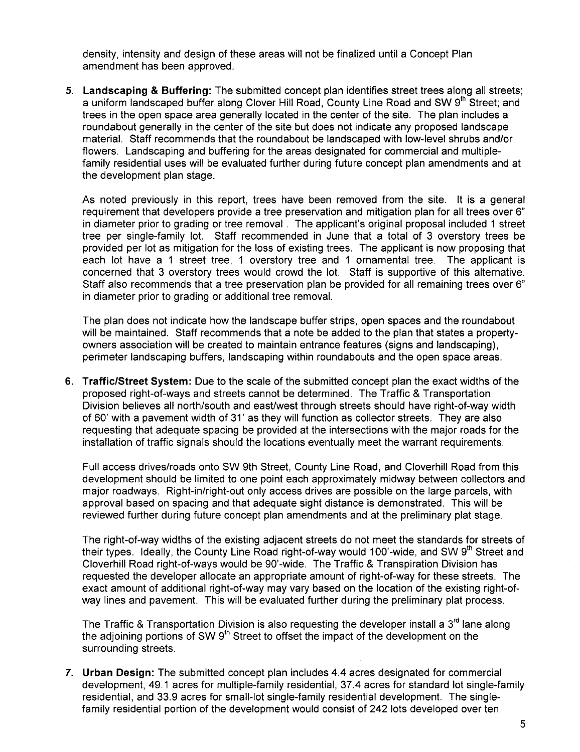density, intensity and design of these areas will not be finalized until a Concept Plan amendment has been approved.

5. Landscaping & Buffering: The submitted concept plan identifies street trees along all streets; a uniform landscaped buffer along Clover Hill Road, County Line Road and SW 9<sup>th</sup> Street; and trees in the open space area generally located in the center of the site. The plan includes a roundabout generally in the center of the site but does not indicate any proposed landscape materiaL. Staff recommends that the roundabout be landscaped with low-level shrubs and/or flowers. Landscaping and buffering for the areas designated for commercial and multiplefamily residential uses will be evaluated further during future concept plan amendments and at the development plan stage.

As noted previously in this report, trees have been removed from the site. It is a general requirement that developers provide a tree preservation and mitigation plan for all trees over 6" in diameter prior to grading or tree removal. The applicant's original proposal included 1 street tree per single-family lot. Staff recommended in June that a total of 3 overstory trees be provided per lot as mitigation for the loss of existing trees. The applicant is now proposing that each lot have a 1 street tree, 1 overstory tree and 1 ornamental tree. The applicant is concerned that 3 overstory trees would crowd the lot. Staff is supportive of this alternative. Staff also recommends that a tree preservation plan be provided for all remaining trees over 6" in diameter prior to grading or additional tree removaL.

The plan does not indicate how the landscape buffer strips, open spaces and the roundabout will be maintained. Staff recommends that a note be added to the plan that states a propertyowners association wil be created to maintain entrance features (signs and landscaping), perimeter landscaping buffers, landscaping within roundabouts and the open space areas.

6. Traffic/Street System: Due to the scale of the submitted concept plan the exact widths of the proposed right-of-ways and streets cannot be determined. The Traffic & Transportation Division believes all north/south and east/west through streets should have right-of-way width of 60' with a pavement width of 31' as they will function as collector streets. They are also requesting that adequate spacing be provided at the intersections with the major roads for the installation of traffic signals should the locations eventually meet the warrant requirements.

Full access drives/roads onto SW 9th Street, County Line Road, and Cloverhill Road from this development should be limited to one point each approximately midway between collectors and major roadways. Right-in/right-out only access drives are possible on the large parcels, with approval based on spacing and that adequate sight distance is demonstrated. This will be reviewed further during future concept plan amendments and at the preliminary plat stage.

The right-of-way widths of the existing adjacent streets do not meet the standards for streets of their types. Ideally, the County Line Road right-of-way would 100'-wide, and SW 9<sup>th</sup> Street and Cloverhill Road right-of-ways would be 90'-wide. The Traffic & Transpiration Division has requested the developer allocate an appropriate amount of right-of-way for these streets. The exact amount of additional right-of-way may vary based on the location of the existing right-ofway lines and pavement. This will be evaluated further during the preliminary plat process.

The Traffic & Transportation Division is also requesting the developer install a  $3<sup>rd</sup>$  lane along the adjoining portions of SW  $9<sup>th</sup>$  Street to offset the impact of the development on the surrounding streets.

7. Urban Design: The submitted concept plan includes 4.4 acres designated for commercial development, 49.1 acres for multiple-family residential, 37.4 acres for standard lot single-family residential, and 33.9 acres for small-lot single-family residential development. The singlefamily residential portion of the development would consist of 242 lots developed over ten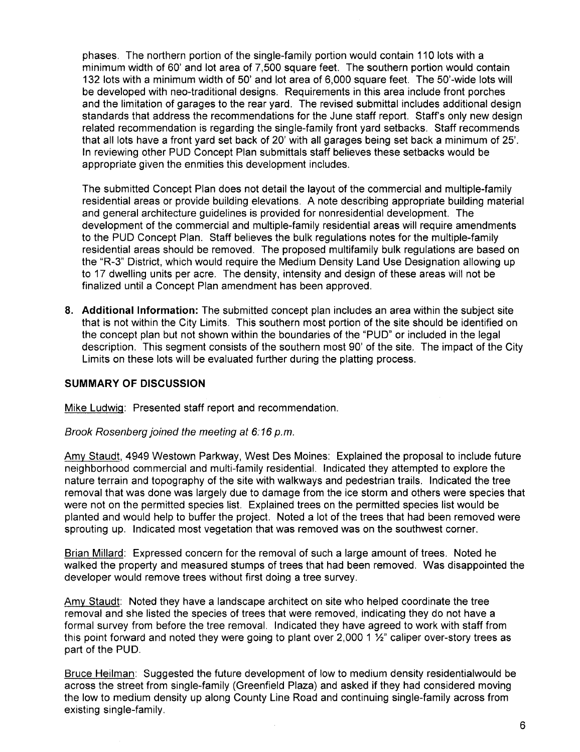phases. The northern portion of the single-family portion would contain 110 lots with a minimum width of 60' and lot area of 7,500 square feet. The southern portion would contain 132 lots with a minimum width of 50' and lot area of 6,000 square feet. The 50'-wide lots will be developed with neo-traditional designs. Requirements in this area include front porches and the limitation of garages to the rear yard. The revised submittal includes additional design standards that address the recommendations for the June staff report. Staff's only new design related recommendation is regarding the single-family front yard setbacks. Staff recommends that all lots have a front yard set back of 20' with all garages being set back a minimum of 25'. In reviewing other PUD Concept Plan submittals staff believes these setbacks would be appropriate given the enmities this development includes.

The submitted Concept Plan does not detail the layout of the commercial and multiple-family residential areas or provide building elevations. A note describing appropriate building material and general architecture guidelines is provided for nonresidential development. The development of the commercial and multiple-family residential areas will require amendments to the PUD Concept Plan. Staff believes the bulk regulations notes for the multiple-family residential areas should be removed. The proposed multifamily bulk regulations are based on the "R-3" District, which would require the Medium Density Land Use Designation allowing up to 17 dwellng units per acre. The density, intensity and design of these areas will not be finalized until a Concept Plan amendment has been approved.

8. Additional Information: The submitted concept plan includes an area within the subject site that is not within the City Limits. This southern most portion of the site should be identified on the concept plan but not shown within the boundaries of the "PUD" or included in the legal description. This segment consists of the southern most 90' of the site. The impact of the City Limits on these lots will be evaluated further during the platting process.

### SUMMARY OF DISCUSSION

Mike LudwiQ: Presented staff report and recommendation.

Brook Rosenberg joined the meeting at 6:16 p.m.

Amy Staudt, 4949 Westown Parkway, West Des Moines: Explained the proposal to include future neighborhood commercial and multi-family residential. Indicated they attempted to explore the nature terrain and topography of the site with walkways and pedestrian trails. Indicated the tree removal that was done was largely due to damage from the ice storm and others were species that were not on the permitted species list. Explained trees on the permitted species list would be planted and would help to buffer the project. Noted a lot of the trees that had been removed were sprouting up. Indicated most vegetation that was removed was on the southwest corner.

Brian Millard: Expressed concern for the removal of such a large amount of trees. Noted he walked the property and measured stumps of trees that had been removed. Was disappointed the developer would remove trees without first doing a tree survey.

Amy Staudt: Noted they have a landscape architect on site who helped coordinate the tree removal and she listed the species of trees that were removed, indicating they do not have a formal survey from before the tree removal. Indicated they have agreed to work with staff from this point forward and noted they were going to plant over 2,000 1  $\frac{1}{2}$  caliper over-story trees as part of the PUD.

Bruce Heilman: Suggested the future development of low to medium density residentialwould be across the street from single-family (Greenfield Plaza) and asked if they had considered moving the low to medium density up along County Line Road and continuing single-family across from existing single-family.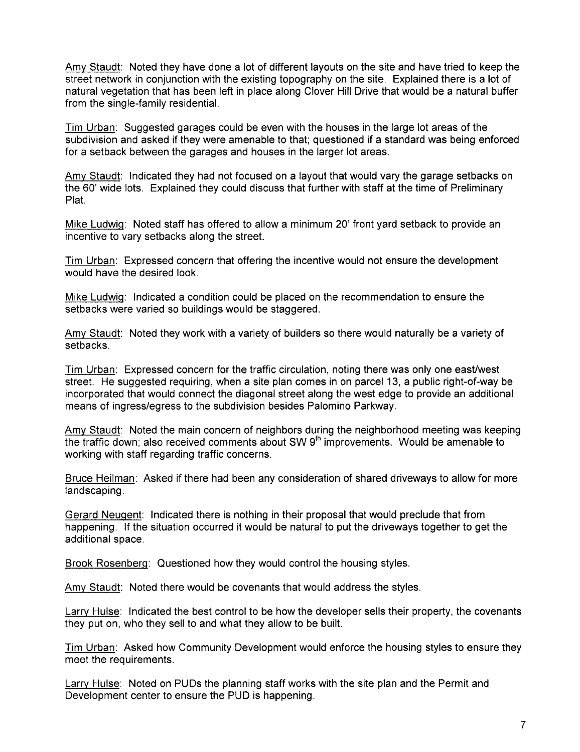Amy Staudt: Noted they have done a lot of different layouts on the site and have tried to keep the street network in conjunction with the existing topography on the site. Explained there is a lot of natural vegetation that has been left in place along Clover Hill Drive that would be a natural buffer from the single-family residentiaL.

Tim Urban: Suggested garages could be even with the houses in the large lot areas of the subdivision and asked if they were amenable to that; questioned if a standard was being enforced for a setback between the garages and houses in the larger lot areas.

Amy Staudt: Indicated they had not focused on a layout that would vary the garage setbacks on the 60' wide lots. Explained they could discuss that further with staff at the time of Preliminary Plat.

Mike Ludwiq: Noted staff has offered to allow a minimum 20' front yard setback to provide an incentive to vary setbacks along the street.

Tim Urban: Expressed concern that offering the incentive would not ensure the development would have the desired look.

Mike Ludwiq: Indicated a condition could be placed on the recommendation to ensure the setbacks were varied so buildings would be staggered.

Amy Staudt: Noted they work with a variety of builders so there would naturally be a variety of setbacks.

Tim Urban: Expressed concern for the traffic circulation, noting there was only one east/west street. He suggested requiring, when a site plan comes in on parcel 13, a public right-of-way be incorporated that would connect the diagonal street along the west edge to provide an additional means of ingress/egress to the subdivision besides Palomino Parkway.

Amy Staudt: Noted the main concern of neighbors during the neighborhood meeting was keeping the traffic down; also received comments about SW  $9<sup>th</sup>$  improvements. Would be amenable to working with staff regarding traffic concerns.

Bruce Heilman: Asked if there had been any consideration of shared driveways to allow for more landscaping.

Gerard Neuqent: Indicated there is nothing in their proposal that would preclude that from happening. If the situation occurred it would be natural to put the driveways together to get the additional space.

Brook Rosenberq: Questioned how they would control the housing styles.

Amy Staudt: Noted there would be covenants that would address the styles.

Larry Hulse: Indicated the best control to be how the developer sells their property, the covenants they put on, who they sell to and what they allow to be built.

Tim Urban: Asked how Community Development would enforce the housing styles to ensure they meet the requirements.

Larry Hulse: Noted on PUDs the planning staff works with the site plan and the Permit and Development center to ensure the PUD is happening.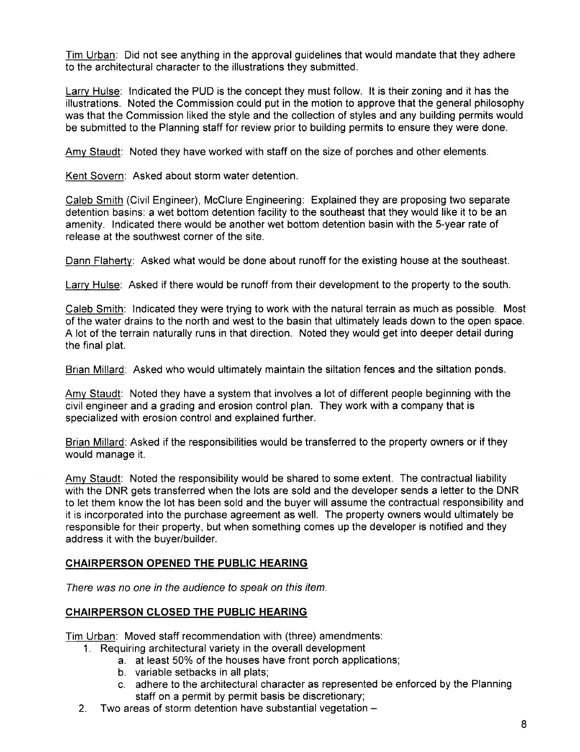Tim Urban: Did not see anything in the approval guidelines that would mandate that they adhere to the architectural character to the illustrations they submitted.

Larry Hulse: Indicated the PUD is the concept they must follow. It is their zoning and it has the illustrations. Noted the Commission could put in the motion to approve that the general philosophy was that the Commission liked the style and the collection of styles and any building permits would be submitted to the Planning staff for review prior to building permits to ensure they were done.

Amy Staudt: Noted they have worked with staff on the size of porches and other elements.

Kent Sovern: Asked about storm water detention.

Caleb Smith (Civil Engineer), McClure Engineering: Explained they are proposing two separate detention basins: a wet bottom detention facility to the southeast that they would like it to be an amenity. Indicated there would be another wet bottom detention basin with the 5-year rate of release at the southwest corner of the site.

Dann Flaherty: Asked what would be done about runoff for the existing house at the southeast.

Larry Hulse: Asked if there would be runoff from their development to the property to the south.

Caleb Smith: Indicated they were trying to work with the natural terrain as much as possible. Most of the water drains to the north and west to the basin that ultimately leads down to the open space. A lot of the terrain naturally runs in that direction. Noted they would get into deeper detail during the final plat.

Brian Millard: Asked who would ultimately maintain the siltation fences and the siltation ponds.

Amy Staudt: Noted they have a system that involves a lot of different people beginning with the civil engineer and a grading and erosion control plan. They work with a company that is specialized with erosion control and explained further.

Brian Millard: Asked if the responsibilities would be transferred to the property owners or if they would manage it.

Amy Staudt: Noted the responsibility would be shared to some extent. The contractual liability with the DNR gets transferred when the lots are sold and the developer sends a letter to the DNR to let them know the lot has been sold and the buyer will assume the contractual responsibility and it is incorporated into the purchase agreement as welL. The property owners would ultimately be responsible for their property, but when something comes up the developer is notified and they address it with the buyer/builder.

## CHAIRPERSON OPENED THE PUBLIC HEARING

There was no one in the audience to speak on this item.

### CHAIRPERSON CLOSED THE PUBLIC HEARING

Tim Urban: Moved staff recommendation with (three) amendments:

- 1. Requiring architectural variety in the overall development
	- a. at least 50% of the houses have front porch applications;
	- b. variable setbacks in all plats;
	- c. adhere to the architectural character as represented be enforced by the Planning staff on a permit by permit basis be discretionary;
- 2. Two areas of storm detention have substantial vegetation -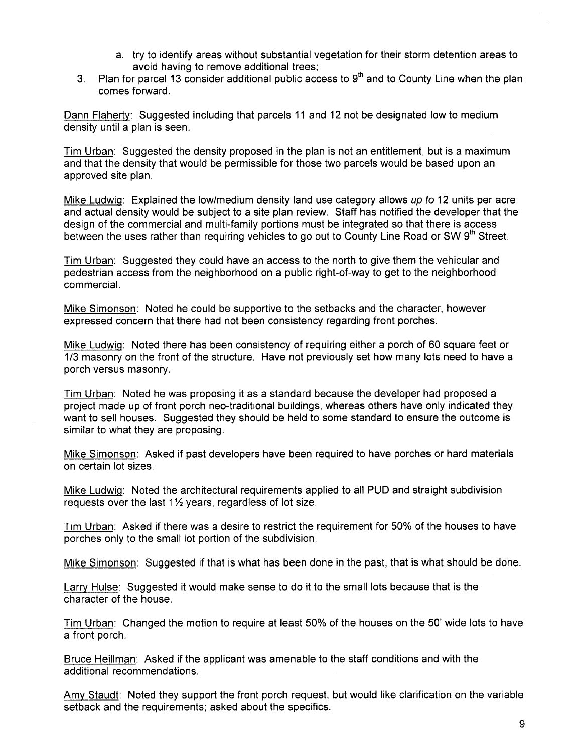- a. try to identify areas without substantial vegetation for their storm detention areas to avoid having to remove additional trees;
- 3. Plan for parcel 13 consider additional public access to  $9<sup>th</sup>$  and to County Line when the plan comes forward.

Dann Flaherty: Suggested including that parcels 11 and 12 not be designated low to medium density until a plan is seen.

Tim Urban: Suggested the density proposed in the plan is not an entitlement, but is a maximum and that the density that would be permissible for those two parcels would be based upon an approved site plan.

Mike Ludwig: Explained the low/medium density land use category allows up to 12 units per acre and actual density would be subject to a site plan review. Staff has notified the developer that the design of the commercial and multi-family portions must be integrated so that there is access between the uses rather than requiring vehicles to go out to County Line Road or SW  $9<sup>th</sup>$  Street.

Tim Urban: Suggested they could have an access to the north to give them the vehicular and pedestrian access from the neighborhood on a public right-of-way to get to the neighborhood commerciaL.

Mike Simonson: Noted he could be supportive to the setbacks and the character, however expressed concern that there had not been consistency regarding front porches.

Mike Ludwig: Noted there has been consistency of requiring either a porch of 60 square feet or 1/3 masonry on the front of the structure. Have not previously set how many lots need to have a porch versus masonry.

Tim Urban: Noted he was proposing it as a standard because the developer had proposed a project made up of front porch neo-traditional buildings, whereas others have only indicated they want to sell houses. Suggested they should be held to some standard to ensure the outcome is similar to what they are proposing.

Mike Simonson: Asked if past developers have been required to have porches or hard materials on certain lot sizes.

Mike LudwiQ: Noted the architectural requirements applied to all PUD and straight subdivision requests over the last  $1\frac{1}{2}$  years, regardless of lot size.

Tim Urban: Asked if there was a desire to restrict the requirement for 50% of the houses to have porches only to the small lot portion of the subdivision.

Mike Simonson: Suggested if that is what has been done in the past, that is what should be done.

Larry Hulse: Suggested it would make sense to do it to the small lots because that is the character of the house.

Tim Urban: Changed the motion to require at least 50% of the houses on the 50' wide lots to have a front porch.

Bruce Heillman: Asked if the applicant was amenable to the staff conditions and with the additional recommendations.

Amy Staudt: Noted they support the front porch request, but would like clarification on the variable setback and the requirements; asked about the specifics.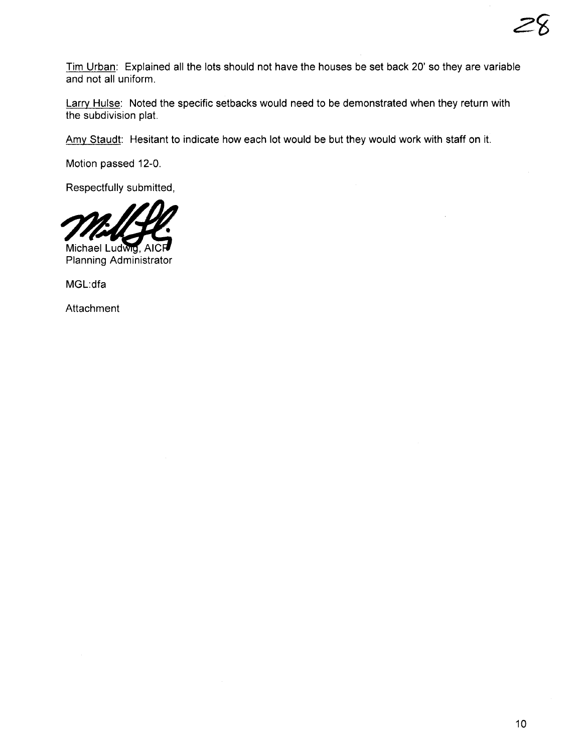Tim Urban: Explained all the lots should not have the houses be set back 20' so they are variable and not all uniform.

Larry Hulse: Noted the specific setbacks would need to be demonstrated when they return with the subdivision plat.

Amy Staudt: Hesitant to indicate how each lot would be but they would work with staff on it.

Motion passed 12-0,

Respectfully submitted,



Planning Administrator

MGL:dfa

Attachment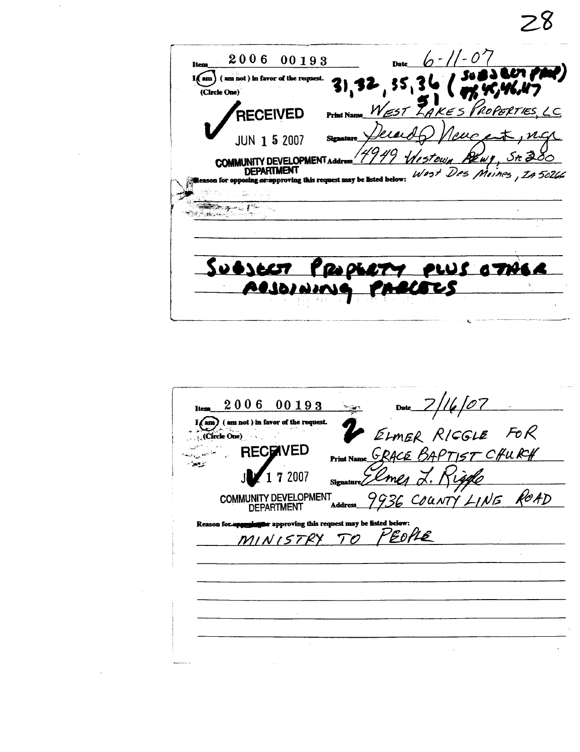$6 - 11 - 07$ 2006 00193 Dat Item  $\bm{\omega}$  (M)  $\widehat{I(\text{am})}$  (am not) in favor of the request.  $3)$ 55 (Circle One)  $W_{ZST}$ LAKES PROPERTIES  $2c$ RECEIVED  $Pr<sub>in</sub>$ nuc **JUN 1 5 2007** Gewy **COMMUNITY DEVELOPMENT** Des Moines, 1A 5026  $W$ ost sposing or approving this request may be listed below: SUBJECT PROPERTY PLUS OTHER ACJOINING PARCECS  $\zeta$ 

 $28$ 

| Date $2/16/07$<br>2006 00193<br><b>Items</b>                                                                |
|-------------------------------------------------------------------------------------------------------------|
| ELMER RICGLE FOR<br>am) (am not) in favor of the request.<br>$Circle One$ )                                 |
| GRACE BAPTIST CHURCH<br><b>RECENVED</b><br>Print Name                                                       |
| 17 2007<br><b>COMMUNITY DEVELOPMENT</b>                                                                     |
| COUNTY LINE ROAD<br>Address_<br><b>DEPARTMENT</b><br>Reason for approving this request may be listed below: |
| MINISTRY TO PEOPLE                                                                                          |
|                                                                                                             |
|                                                                                                             |
|                                                                                                             |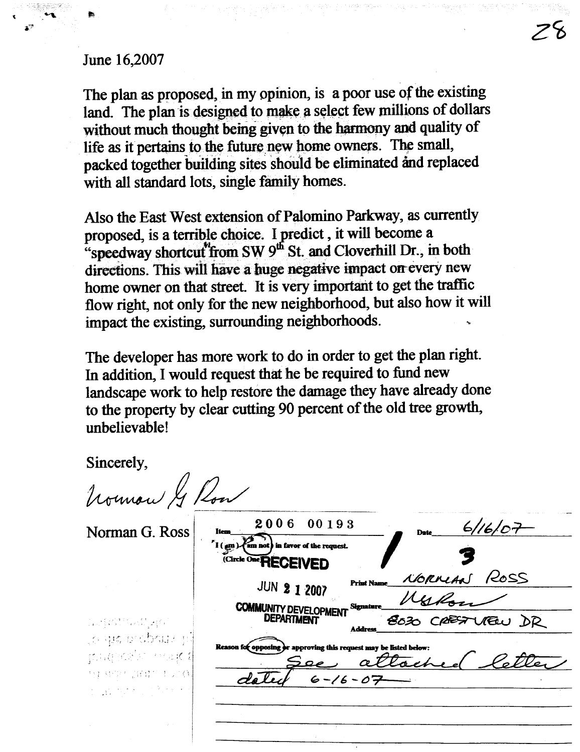# June 16,2007

The plan as proposed, in my opinion, is a poor use of the existing land. The plan is designed to make a select few millions of dollars without much thought being given to the harmony and quality of life as it pertains to the future new home owners. The small, packed together building sites should be eliminated and replaced with all standard lots, single family homes.

Also the East West extension of Palomino Parkway, as currently proposed, is a terrible choice. I predict, it will become a "speedway shortcut"from SW 9<sup>th</sup> St. and Cloverhill Dr., in both directions. This will have a huge negative impact on every new home owner on that street. It is very important to get the traffic flow right, not only for the new neighborhood, but also how it will impact the existing, surrounding neighborhoods.

The developer has more work to do in order to get the plan right. In addition, I would request that he be required to fund new landscape work to help restore the damage they have already done to the property by clear cutting 90 percent of the old tree growth, unhelievable!

 $C_{\text{in} \text{a} \text{a} \text{b}}$ 

| SINCETEIY,                                                                                                                                                                                                                                                                                                                                                                                                                                                                                                                           |                                                                                                                             |
|--------------------------------------------------------------------------------------------------------------------------------------------------------------------------------------------------------------------------------------------------------------------------------------------------------------------------------------------------------------------------------------------------------------------------------------------------------------------------------------------------------------------------------------|-----------------------------------------------------------------------------------------------------------------------------|
| Normon & Row                                                                                                                                                                                                                                                                                                                                                                                                                                                                                                                         |                                                                                                                             |
| Norman G. Ross                                                                                                                                                                                                                                                                                                                                                                                                                                                                                                                       | 2006<br>00193<br>6/16/07<br><b>Date</b><br>Item<br>$\left( \min_{\text{min}} \right)$ (am not) in favor of the request.     |
|                                                                                                                                                                                                                                                                                                                                                                                                                                                                                                                                      | Circle One RECEIVED<br>NORMAN ROSS<br><b>Print Name</b><br><b>JUN 2 1 2007</b><br>Signature<br><b>COMMUNITY DEVELOPMENT</b> |
| $\label{eq:1} \lim_{\varepsilon\to 0} \mathbb{E} \mathcal{L}^{\varepsilon,\varepsilon}_\varepsilon \mathcal{L}^{\varepsilon,\varepsilon}_\varepsilon \mathcal{L}^{\varepsilon}_\varepsilon \mathcal{L}^{\varepsilon}_\varepsilon \mathcal{L}^{\varepsilon}_\varepsilon \mathcal{L}^{\varepsilon}_\varepsilon \mathcal{L}^{\varepsilon}_\varepsilon \mathcal{L}^{\varepsilon}_\varepsilon \mathcal{L}^{\varepsilon}_\varepsilon \mathcal{L}^{\varepsilon}_\varepsilon \mathcal{L}^{\varepsilon}_\varepsilon \mathcal{L}^{\varepsilon$ | 8030 CRESTUREU DR<br><b>DEPARTMENT</b><br><b>Address</b>                                                                    |
| ijo que e obsuar pil<br>philophia wak t                                                                                                                                                                                                                                                                                                                                                                                                                                                                                              | Reason for opposing or approving this request may be listed below:                                                          |
| 与打转空气官算位 EDFO,<br>$\label{eq:1} \frac{1}{2} \left( \frac{1}{2} \sum_{i=1}^n \frac{1}{2} \sum_{j=1}^n \frac{1}{2} \sum_{i=1}^n \frac{1}{2} \sum_{j=1}^n \frac{1}{2} \sum_{j=1}^n \frac{1}{2} \sum_{j=1}^n \frac{1}{2} \sum_{j=1}^n \frac{1}{2} \sum_{j=1}^n \frac{1}{2} \sum_{j=1}^n \frac{1}{2} \sum_{j=1}^n \frac{1}{2} \sum_{j=1}^n \frac{1}{2} \sum_{j=1}^n \frac{1}{2} \sum_{j$                                                                                                                                                  | $6 - 16 - 07$                                                                                                               |
|                                                                                                                                                                                                                                                                                                                                                                                                                                                                                                                                      |                                                                                                                             |